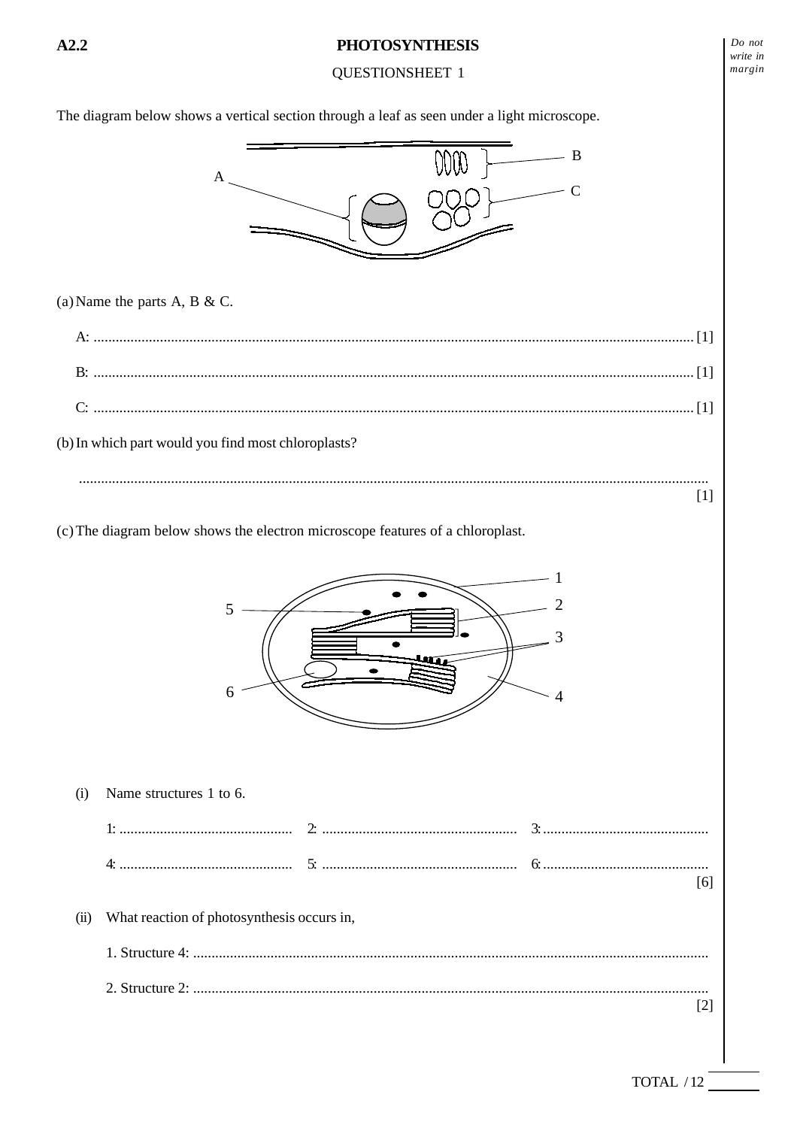## **QUESTIONSHEET 1**

 $Do$  not write in margin

The diagram below shows a vertical section through a leaf as seen under a light microscope.



(a) Name the parts A, B & C.

(b) In which part would you find most chloroplasts?  $[1]$ 

(c) The diagram below shows the electron microscope features of a chloroplast.



 $(i)$ Name structures 1 to 6.  $[6]$ What reaction of photosynthesis occurs in,  $(ii)$  $[2]$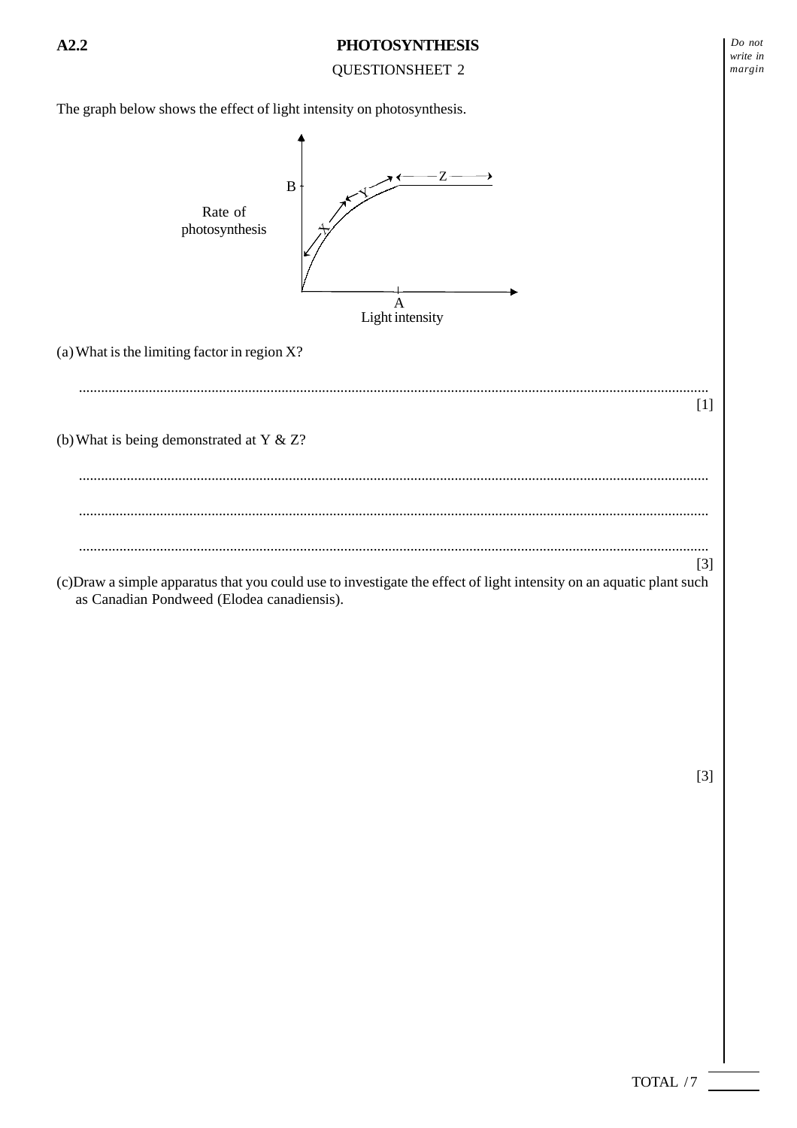QUESTIONSHEET 2

The graph below shows the effect of light intensity on photosynthesis.



[3]

*Do not write in margin*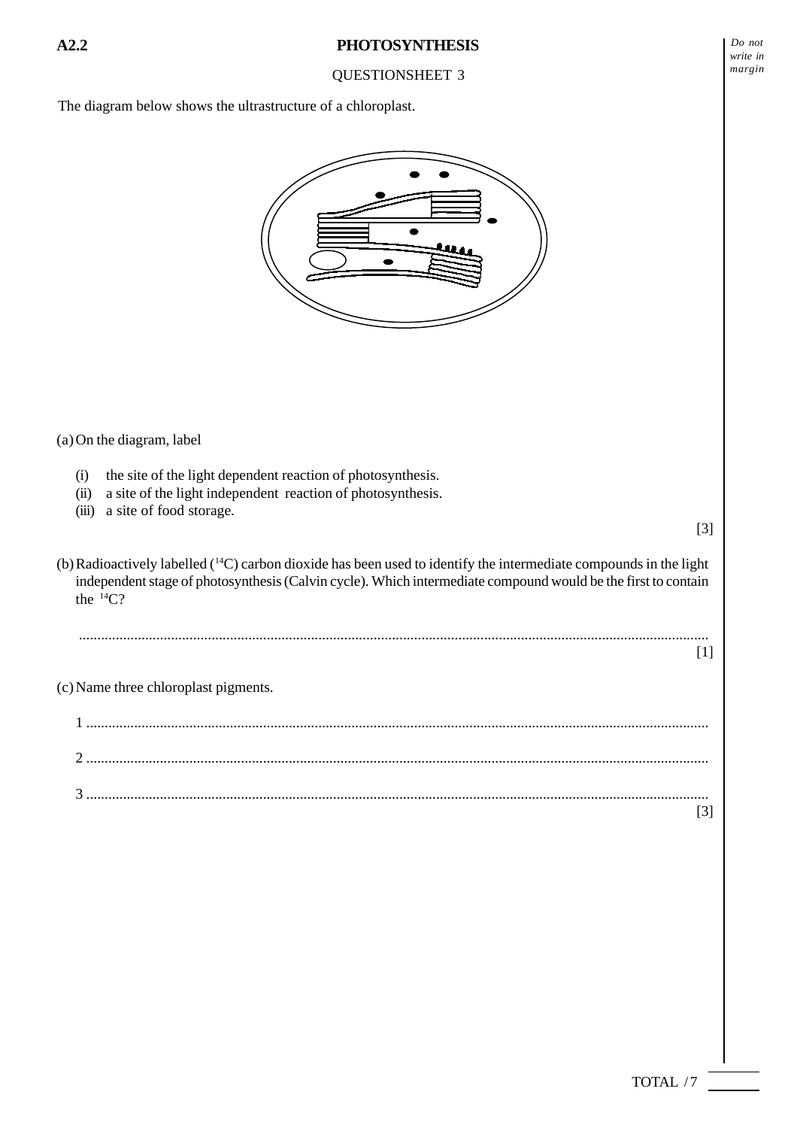The diagram below shows the ultrastructure of a chloroplast.



(a) On the diagram, label

- (i) the site of the light dependent reaction of photosynthesis.
- (ii) a site of the light independent reaction of photosynthesis.
- (iii) a site of food storage.

(b) Radioactively labelled (14C) carbon dioxide has been used to identify the intermediate compounds in the light independent stage of photosynthesis (Calvin cycle). Which intermediate compound would be the first to contain the  ${}^{14}C$ ?

...........................................................................................................................................................................

(c) Name three chloroplast pigments.

1 ......................................................................................................................................................................... 2 ......................................................................................................................................................................... 3 ......................................................................................................................................................................... [3]

[3]

[1]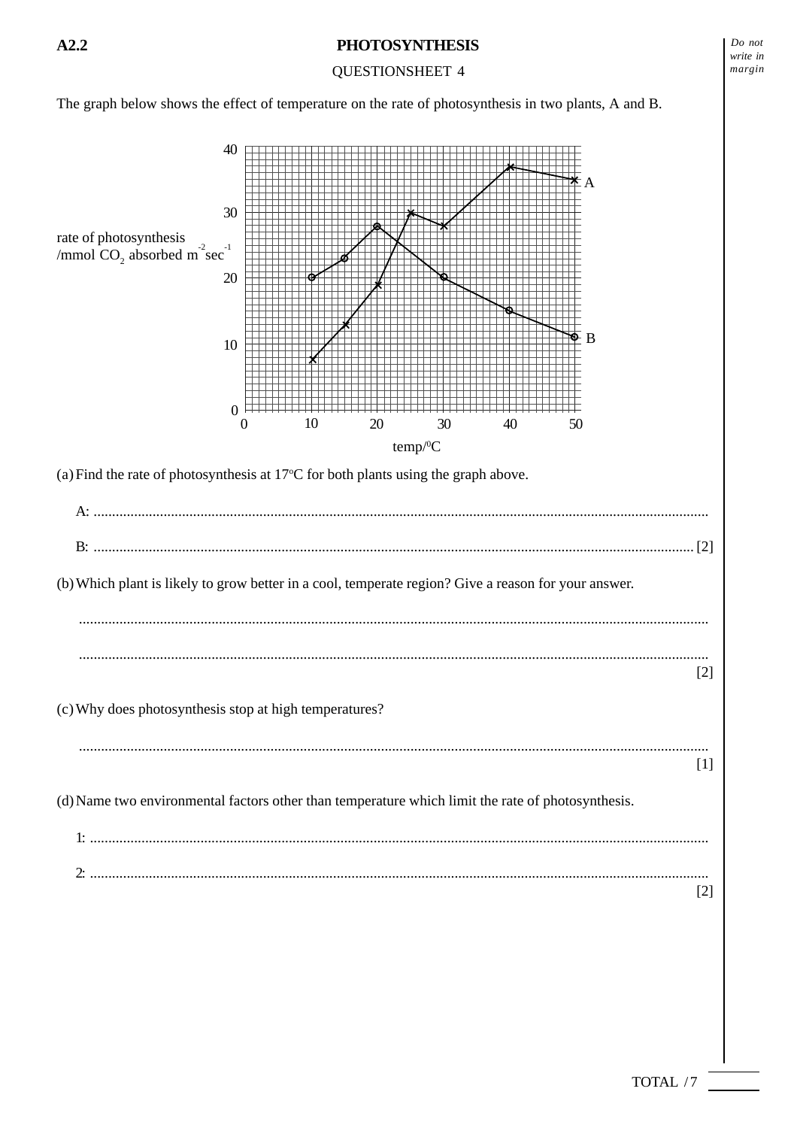**QUESTIONSHEET 4** 

The graph below shows the effect of temperature on the rate of photosynthesis in two plants, A and B.

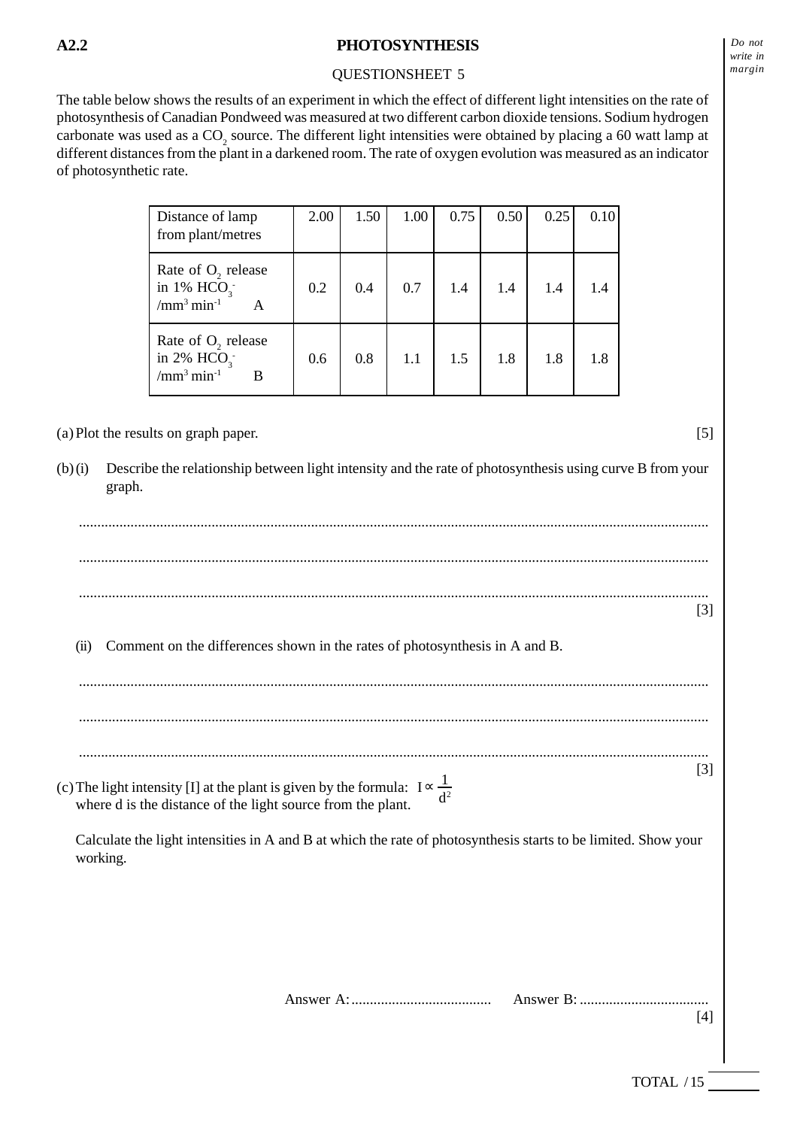## QUESTIONSHEET 5

The table below shows the results of an experiment in which the effect of different light intensities on the rate of photosynthesis of Canadian Pondweed was measured at two different carbon dioxide tensions. Sodium hydrogen carbonate was used as a  $CO_2$  source. The different light intensities were obtained by placing a 60 watt lamp at different distances from the plant in a darkened room. The rate of oxygen evolution was measured as an indicator of photosynthetic rate.

| Distance of lamp<br>from plant/metres                                    | 2.00 | 1.50 | 1.00 | 0.75 | 0.50 | 0.25 | 0.10 |
|--------------------------------------------------------------------------|------|------|------|------|------|------|------|
| Rate of $O2$ release<br>in 1% $HCO3$ .<br>$/\text{mm}^3 \text{min}^{-1}$ | 0.2  | 0.4  | 0.7  | 1.4  | 1.4  | 1.4  | 1.4  |
| Rate of $O2$ release<br>in 2% $HCO3$ .<br>$/mm3 min-1$<br>B              | 0.6  | 0.8  | 1.1  | 1.5  | 1.8  | 1.8  | 1.8  |

(a) Plot the results on graph paper. [5]

(b) (i) Describe the relationship between light intensity and the rate of photosynthesis using curve B from your graph.

|                                                                                                                                                            |                                                                                                                | $[3]$ |
|------------------------------------------------------------------------------------------------------------------------------------------------------------|----------------------------------------------------------------------------------------------------------------|-------|
| (ii)                                                                                                                                                       | Comment on the differences shown in the rates of photosynthesis in A and B.                                    |       |
|                                                                                                                                                            |                                                                                                                |       |
|                                                                                                                                                            |                                                                                                                |       |
|                                                                                                                                                            |                                                                                                                | $[3]$ |
| (c) The light intensity [I] at the plant is given by the formula: $I \propto \frac{1}{d^2}$<br>where d is the distance of the light source from the plant. |                                                                                                                |       |
| working.                                                                                                                                                   | Calculate the light intensities in A and B at which the rate of photosynthesis starts to be limited. Show your |       |
|                                                                                                                                                            |                                                                                                                |       |
|                                                                                                                                                            |                                                                                                                |       |
|                                                                                                                                                            |                                                                                                                |       |
|                                                                                                                                                            |                                                                                                                | $[4]$ |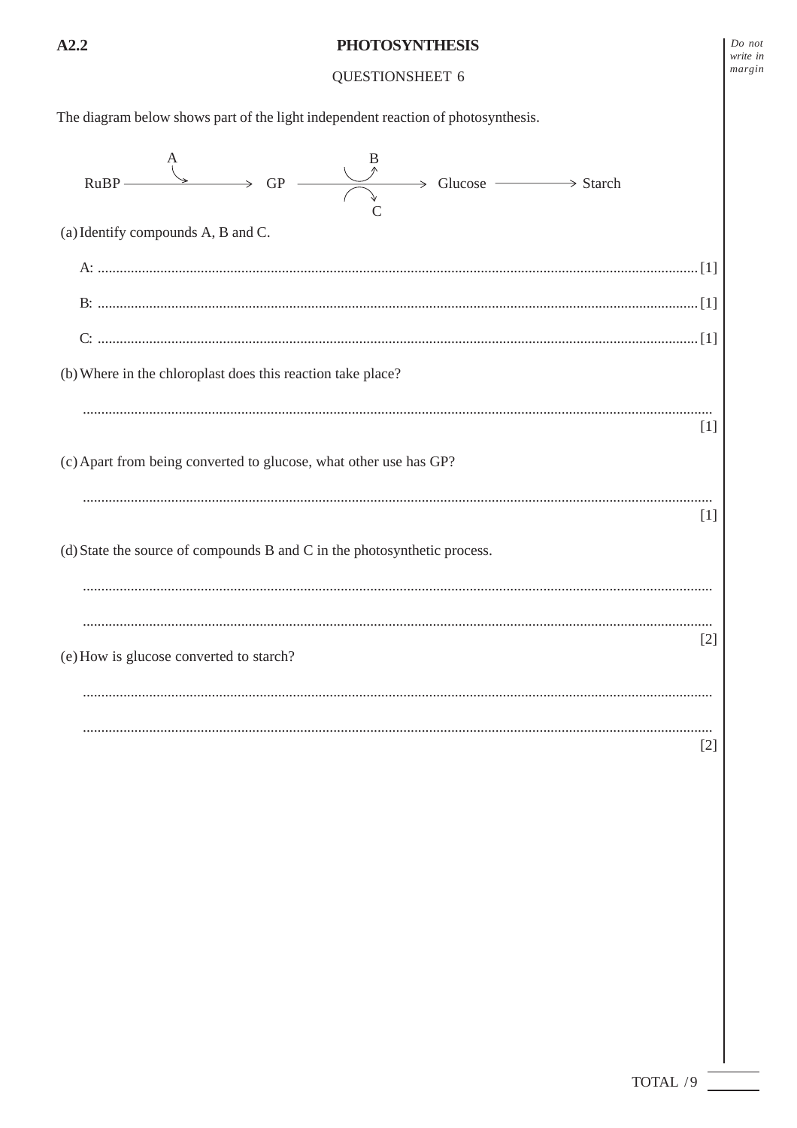## QUESTIONSHEET 6

The diagram below shows part of the light independent reaction of photosynthesis.  $GP \rightarrow$  Glucose  $\rightarrow$  Starch **RuBP** (a) Identify compounds A, B and C. (b) Where in the chloroplast does this reaction take place?  $[1]$ (c) Apart from being converted to glucose, what other use has GP?  $[1]$ (d) State the source of compounds B and C in the photosynthetic process.  $[2]$ (e) How is glucose converted to starch?  $[2]$ 

 $Do$  not write in margin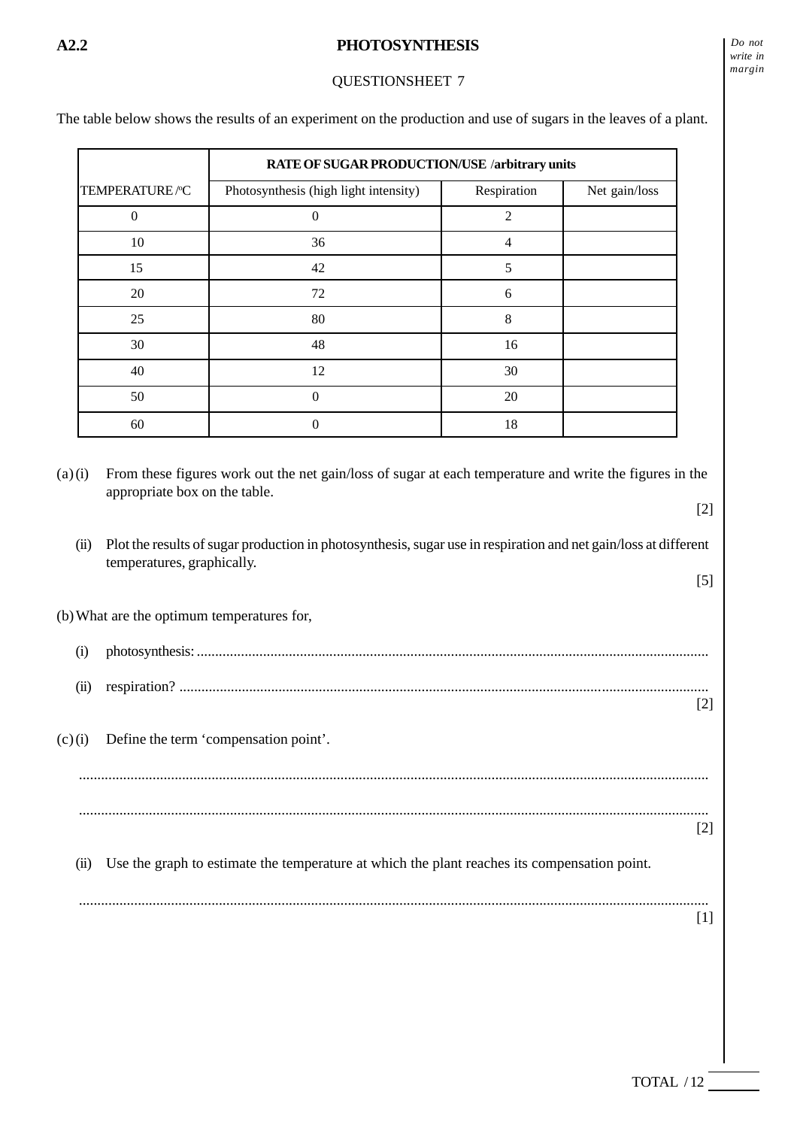## QUESTIONSHEET 7

The table below shows the results of an experiment on the production and use of sugars in the leaves of a plant.

|                | RATE OF SUGAR PRODUCTION/USE /arbitrary units |                |               |
|----------------|-----------------------------------------------|----------------|---------------|
| TEMPERATURE/°C | Photosynthesis (high light intensity)         | Respiration    | Net gain/loss |
| $\Omega$       | $\theta$                                      | $\overline{2}$ |               |
| 10             | 36                                            | $\overline{4}$ |               |
| 15             | 42                                            | 5              |               |
| 20             | 72                                            | 6              |               |
| 25             | 80                                            | 8              |               |
| 30             | 48                                            | 16             |               |
| 40             | 12                                            | 30             |               |
| 50             | $\Omega$                                      | 20             |               |
| 60             | $\Omega$                                      | 18             |               |

(a) (i) From these figures work out the net gain/loss of sugar at each temperature and write the figures in the appropriate box on the table. [2]

(ii) Plot the results of sugar production in photosynthesis, sugar use in respiration and net gain/loss at different temperatures, graphically. [5]

(b) What are the optimum temperatures for,

| (1)  |                                                                                              |                   |
|------|----------------------------------------------------------------------------------------------|-------------------|
| (11) |                                                                                              |                   |
|      | $(c)(i)$ Define the term 'compensation point'.                                               | $\lceil 2 \rceil$ |
|      |                                                                                              |                   |
|      |                                                                                              | $\lceil 2 \rceil$ |
| (11) | Use the graph to estimate the temperature at which the plant reaches its compensation point. |                   |
|      |                                                                                              |                   |
|      |                                                                                              | [1]               |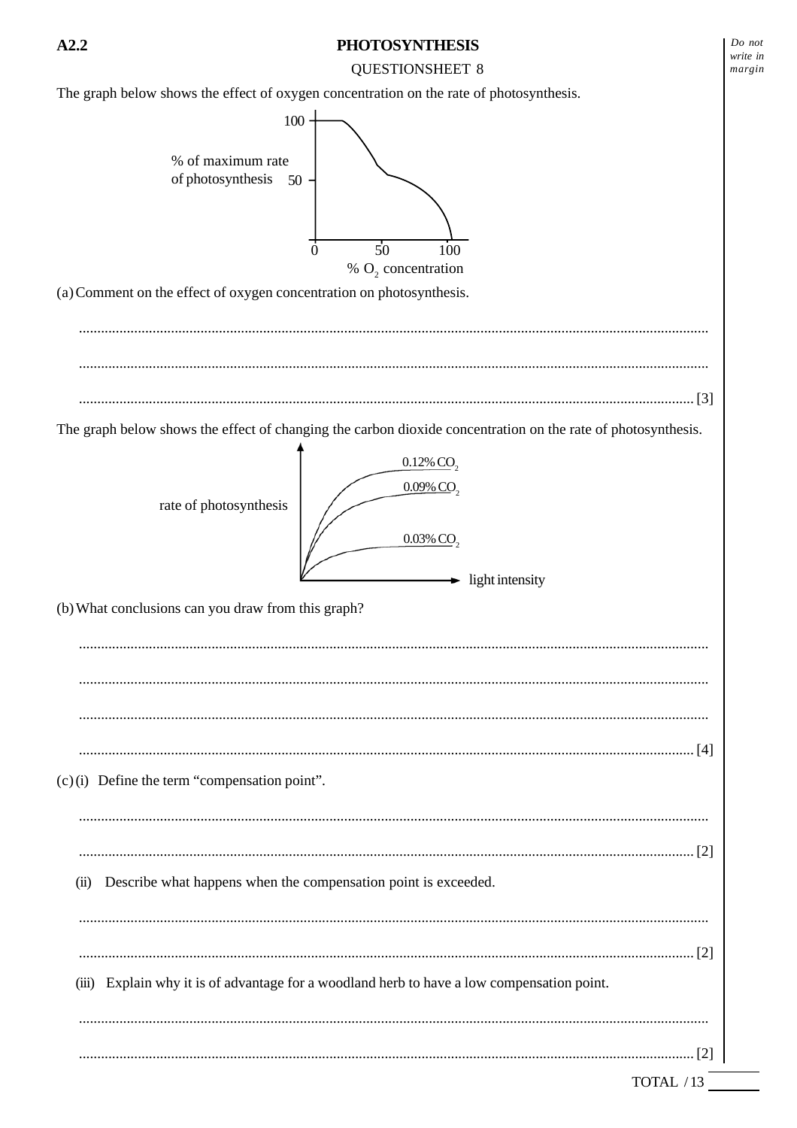#### **QUESTIONSHEET 8**

The graph below shows the effect of oxygen concentration on the rate of photosynthesis. 100 % of maximum rate of photosynthesis  $50$  $\dot{0}$  $50$ 100 % O<sub>2</sub> concentration (a) Comment on the effect of oxygen concentration on photosynthesis. The graph below shows the effect of changing the carbon dioxide concentration on the rate of photosynthesis.  $0.12\%$  CO<sub>2</sub>  $0.09\%$  CO<sub>2</sub> rate of photosynthesis 0.03% СО,  $\rightarrow$  light intensity (b) What conclusions can you draw from this graph?  $(c)$  (i) Define the term "compensation point". (ii) Describe what happens when the compensation point is exceeded. (iii) Explain why it is of advantage for a woodland herb to have a low compensation point. 

 $Do$  not

write in

margin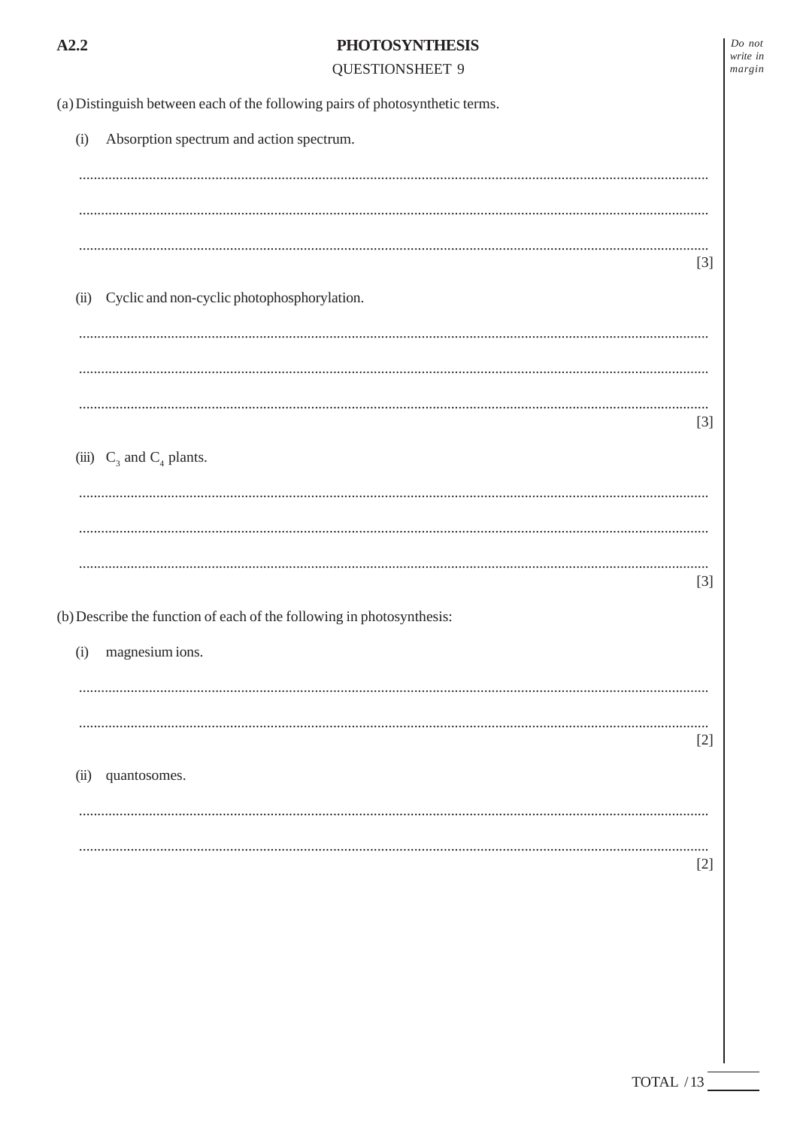| ×<br>۰, |  |
|---------|--|
|         |  |

**QUESTIONSHEET 9** 

| Do not   |  |
|----------|--|
| vrite in |  |
| nargin   |  |

(a) Distinguish between each of the following pairs of photosynthetic terms. Absorption spectrum and action spectrum.  $(i)$ 

|                                                  | $\lceil 3 \rceil$ |
|--------------------------------------------------|-------------------|
| (ii) Cyclic and non-cyclic photophosphorylation. |                   |
|                                                  |                   |
|                                                  |                   |
|                                                  |                   |

|                               | $\lceil 3 \rceil$ |
|-------------------------------|-------------------|
| (iii) $C_3$ and $C_4$ plants. |                   |

| $\lceil 3 \rceil$                                                   |  |
|---------------------------------------------------------------------|--|
| ) Describe the function of each of the following in photosynthesis: |  |

 $\left(\mathbf{b}\right)$  Describe the function of each of the following in photosynthesis:

| (i) magnesium ions. |                   |
|---------------------|-------------------|
|                     |                   |
|                     | $[2]$             |
| (ii) quantosomes.   |                   |
|                     |                   |
|                     | $\lceil 2 \rceil$ |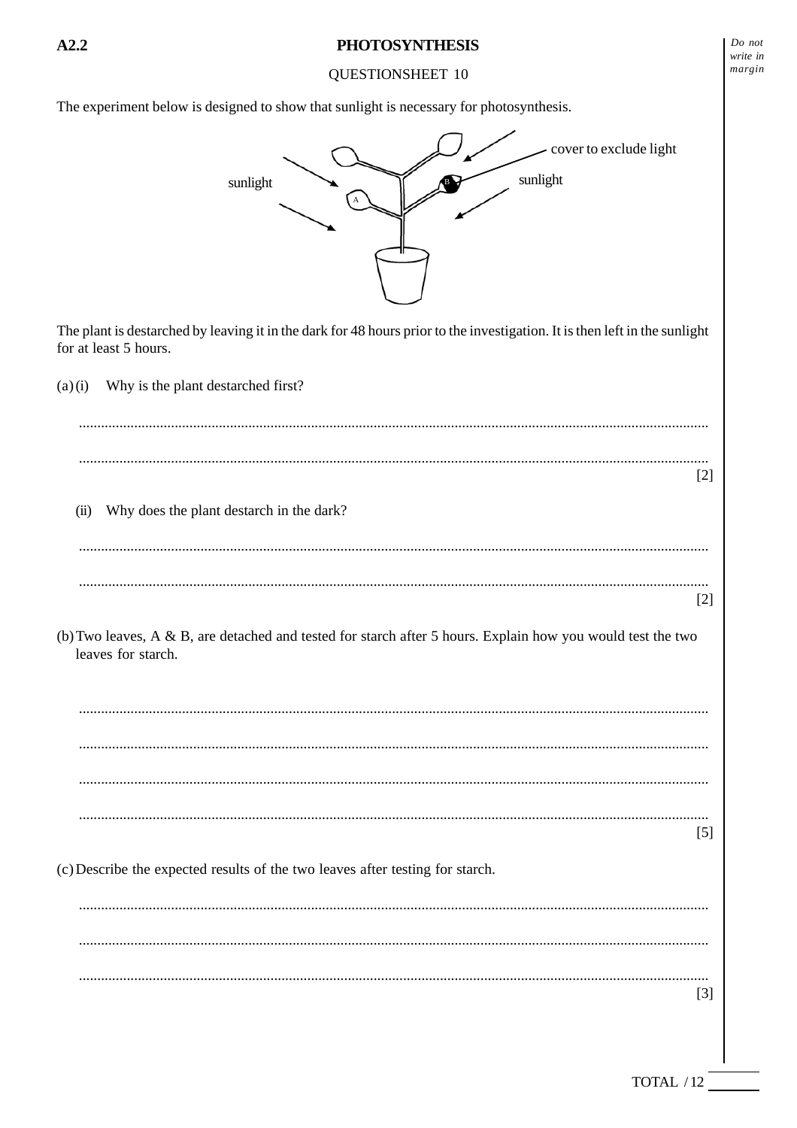**OUESTIONSHEET 10** 

The experiment below is designed to show that sunlight is necessary for photosynthesis.



 $A2.2$ 

 $Do$  not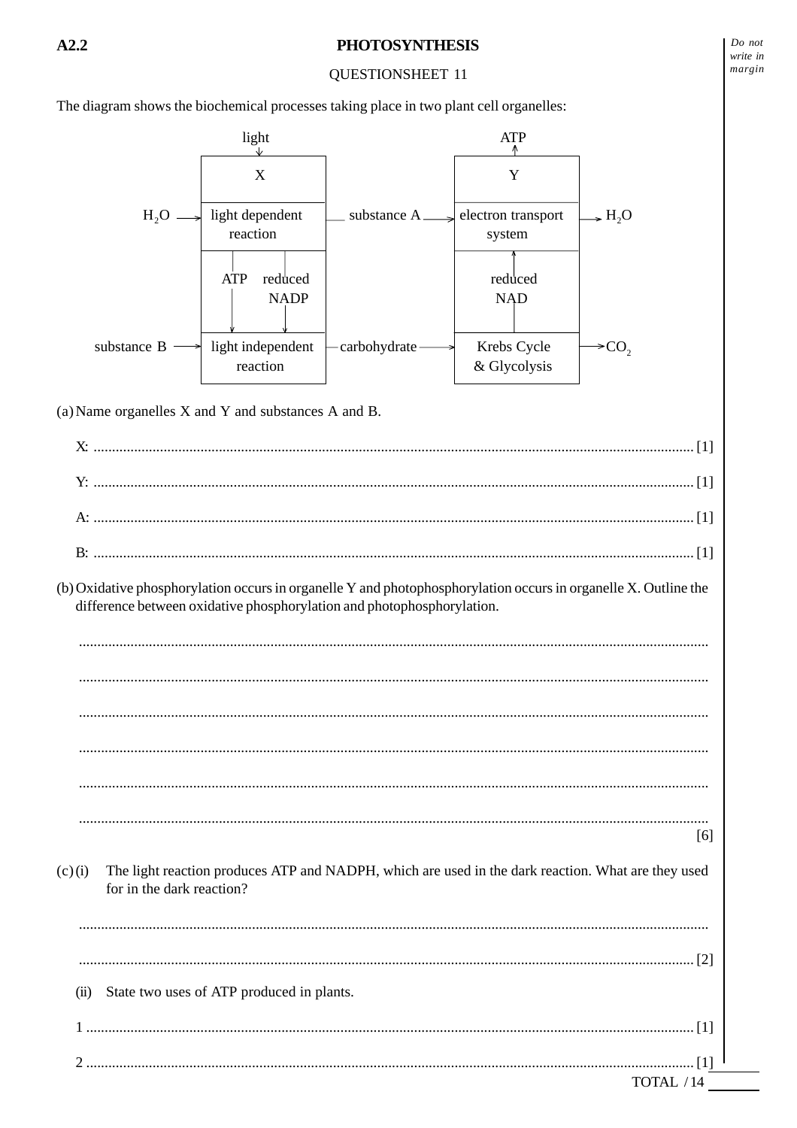## **OUESTIONSHEET 11**

The diagram shows the biochemical processes taking place in two plant cell organelles:

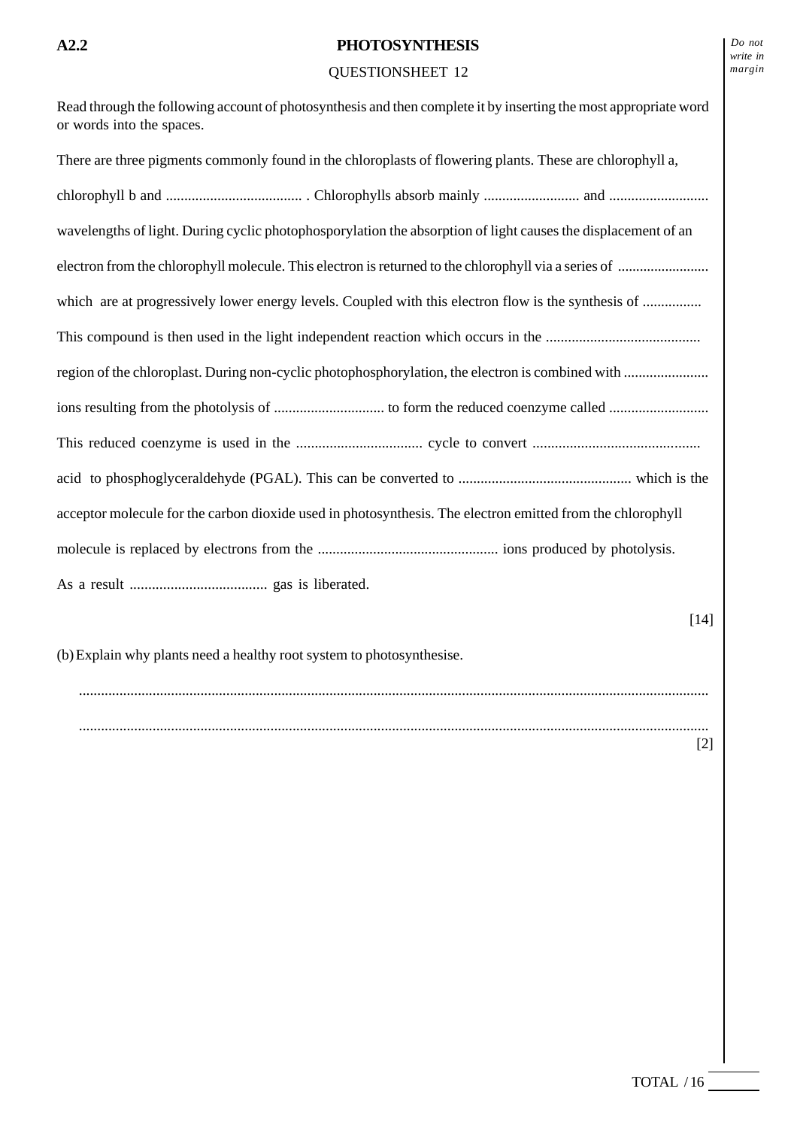| Read through the following account of photosynthesis and then complete it by inserting the most appropriate word<br>or words into the spaces. |
|-----------------------------------------------------------------------------------------------------------------------------------------------|
| There are three pigments commonly found in the chloroplasts of flowering plants. These are chlorophyll a,                                     |
|                                                                                                                                               |
| wavelengths of light. During cyclic photophosporylation the absorption of light causes the displacement of an                                 |
|                                                                                                                                               |
| which are at progressively lower energy levels. Coupled with this electron flow is the synthesis of                                           |
|                                                                                                                                               |
|                                                                                                                                               |
|                                                                                                                                               |
|                                                                                                                                               |
|                                                                                                                                               |
| acceptor molecule for the carbon dioxide used in photosynthesis. The electron emitted from the chlorophyll                                    |
|                                                                                                                                               |
|                                                                                                                                               |
| $[14]$                                                                                                                                        |
| (b) Explain why plants need a healthy root system to photosynthesise.                                                                         |
|                                                                                                                                               |
| $[2]$                                                                                                                                         |
|                                                                                                                                               |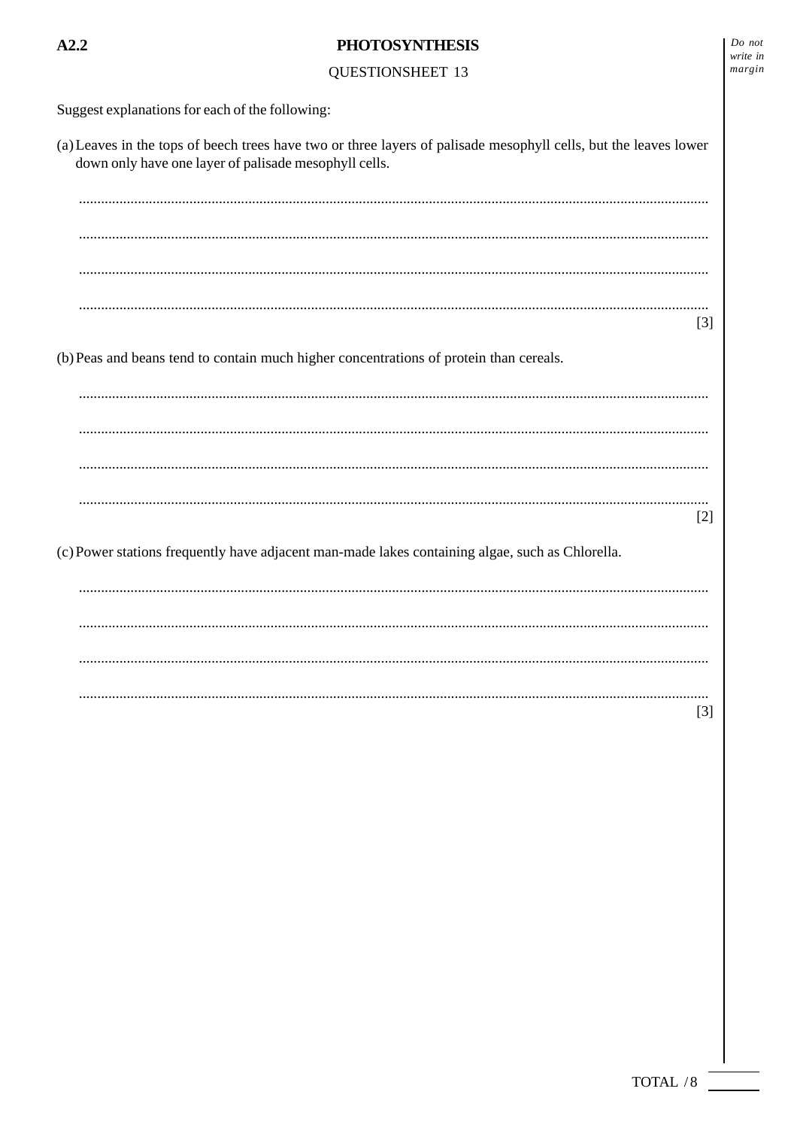## **QUESTIONSHEET 13**

Suggest explanations for each of the following:

 $A2.2$ 

(a) Leaves in the tops of beech trees have two or three layers of palisade mesophyll cells, but the leaves lower down only have one layer of palisade mesophyll cells.

 $\lceil 3 \rceil$ 

(b) Peas and beans tend to contain much higher concentrations of protein than cereals.

 $[2]$ 

(c) Power stations frequently have adjacent man-made lakes containing algae, such as Chlorella.

 $\lceil 3 \rceil$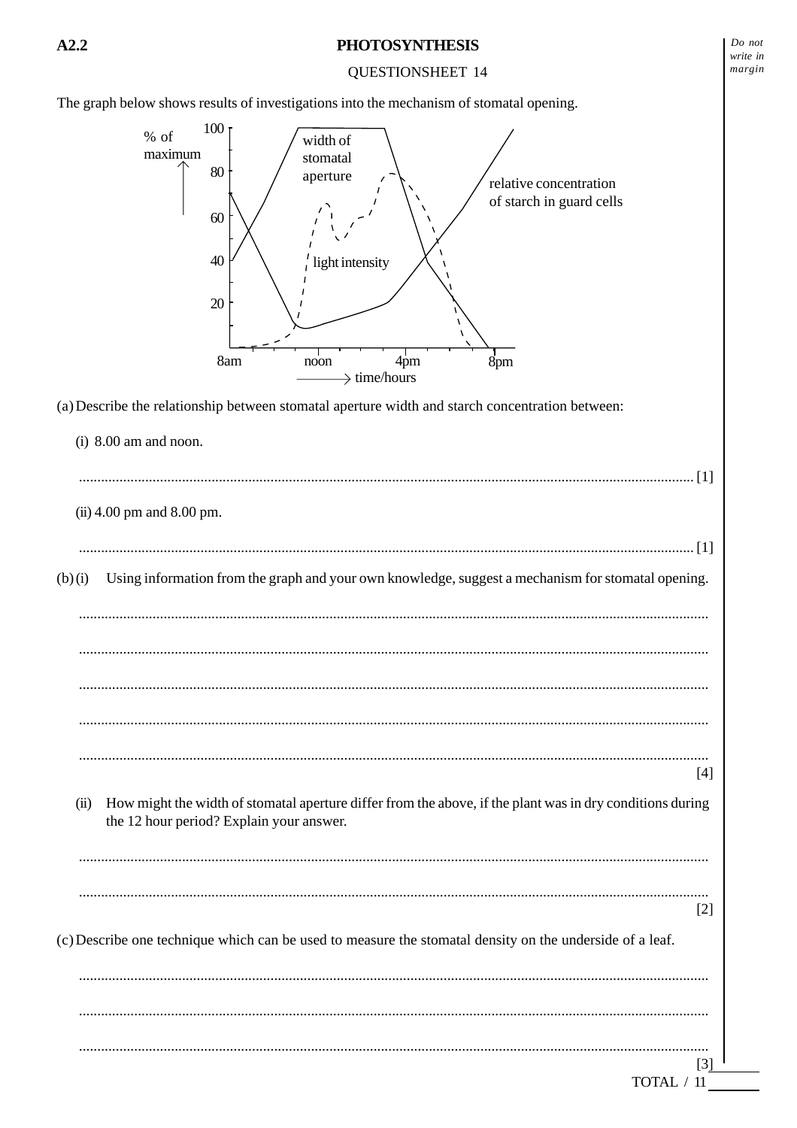#### **QUESTIONSHEET 14**

The graph below shows results of investigations into the mechanism of stomatal opening.



(a) Describe the relationship between stomatal aperture width and starch concentration between:

|        |      | $(i)$ 8.00 am and noon.                                                                                                                               |       |
|--------|------|-------------------------------------------------------------------------------------------------------------------------------------------------------|-------|
|        |      | (ii) 4.00 pm and 8.00 pm.                                                                                                                             |       |
| (b)(i) |      | Using information from the graph and your own knowledge, suggest a mechanism for stomatal opening.                                                    |       |
|        |      |                                                                                                                                                       |       |
|        |      |                                                                                                                                                       | $[4]$ |
|        | (ii) | How might the width of stomatal aperture differ from the above, if the plant was in dry conditions during<br>the 12 hour period? Explain your answer. |       |
|        |      | (c) Describe one technique which can be used to measure the stomatal density on the underside of a leaf.                                              | $[2]$ |
|        |      | TOTAL / 11                                                                                                                                            | [3]   |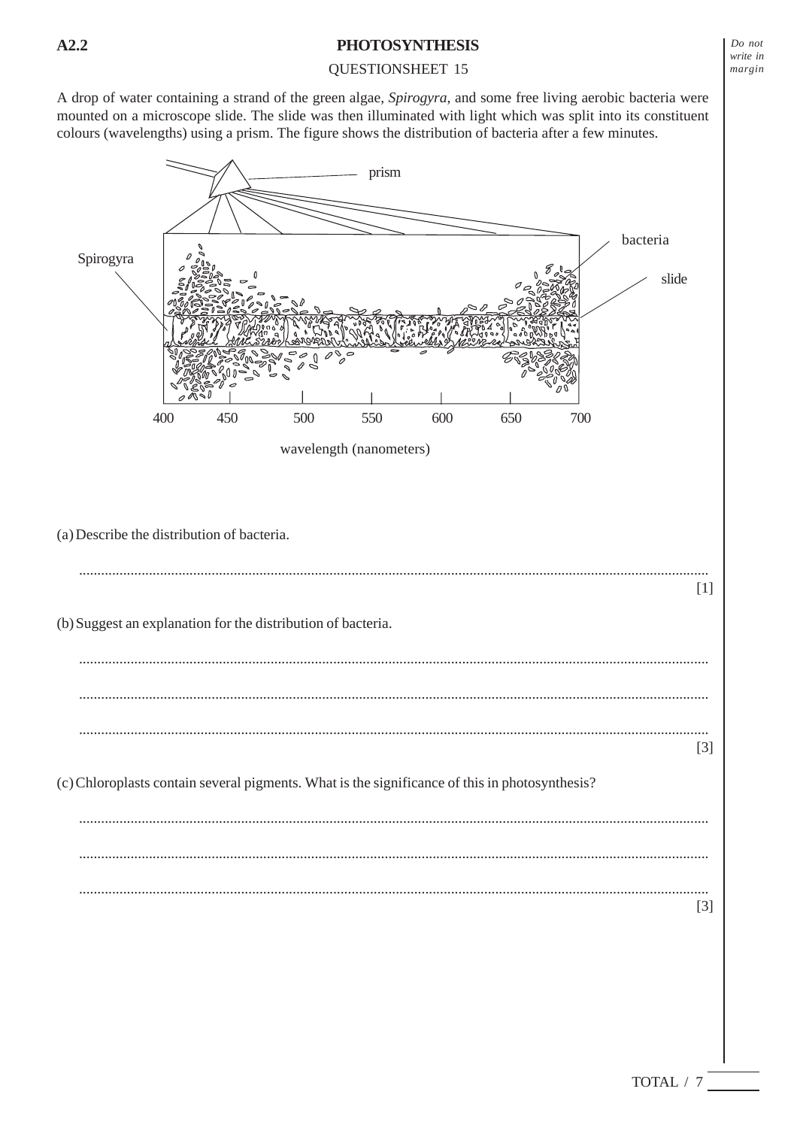## QUESTIONSHEET 15

A drop of water containing a strand of the green algae, *Spirogyra*, and some free living aerobic bacteria were mounted on a microscope slide. The slide was then illuminated with light which was split into its constituent colours (wavelengths) using a prism. The figure shows the distribution of bacteria after a few minutes.

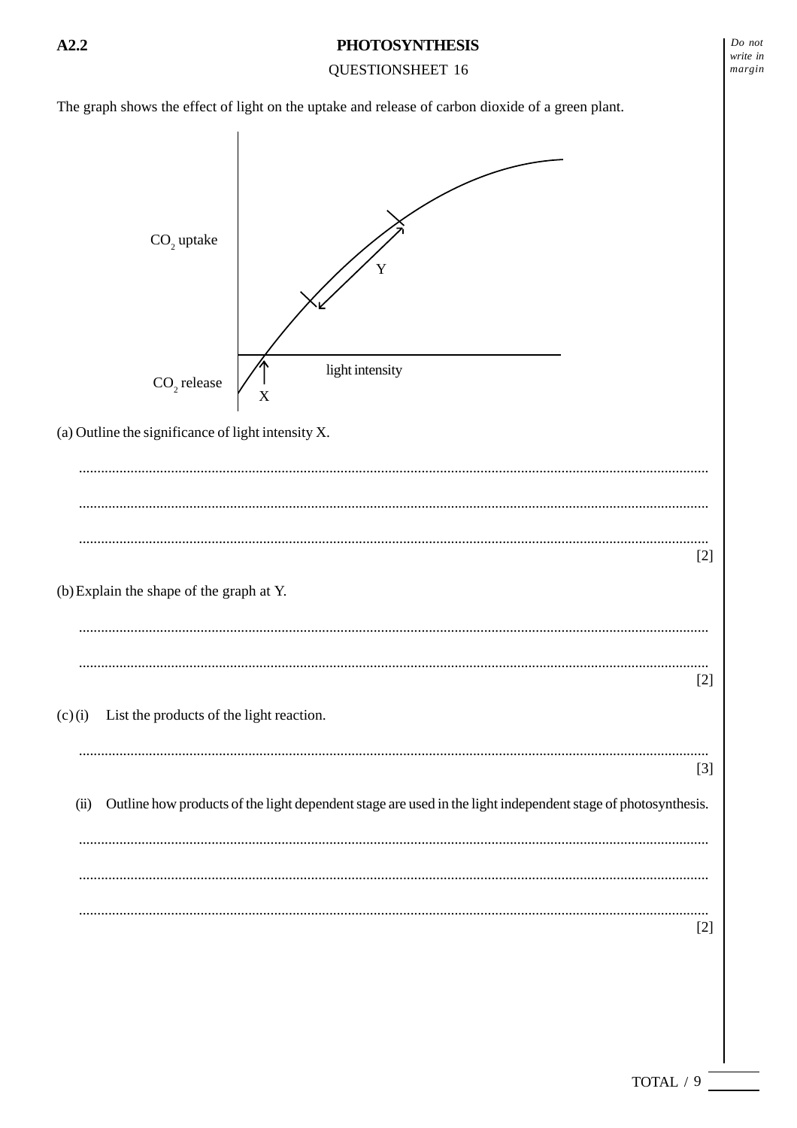# $Do$  not  $A2.2$ **PHOTOSYNTHESIS** write in **QUESTIONSHEET 16** margin The graph shows the effect of light on the uptake and release of carbon dioxide of a green plant. CO<sub>2</sub> uptake light intensity  $CO<sub>2</sub>$  release X (a) Outline the significance of light intensity  $X$ .  $[2]$ (b) Explain the shape of the graph at Y.  $[2]$ List the products of the light reaction.  $(c)(i)$  $[3]$ Outline how products of the light dependent stage are used in the light independent stage of photosynthesis.  $(ii)$  $[2]$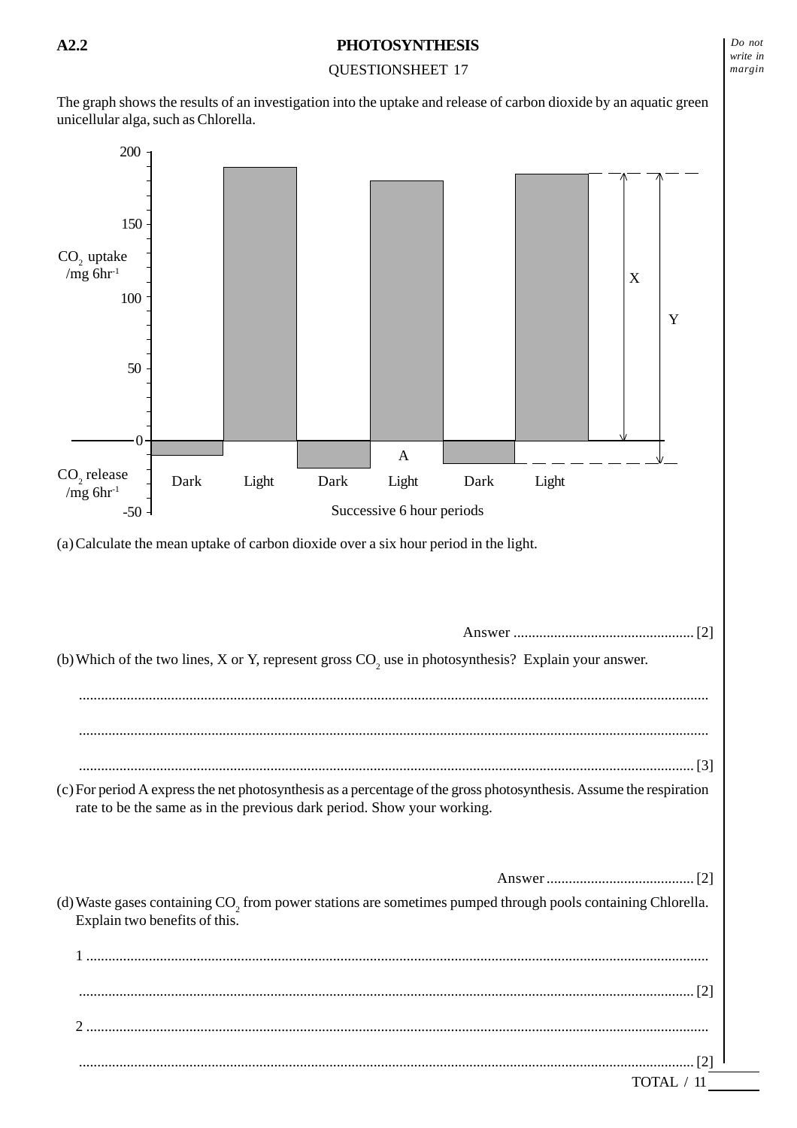## QUESTIONSHEET 17

The graph shows the results of an investigation into the uptake and release of carbon dioxide by an aquatic green unicellular alga, such as Chlorella.

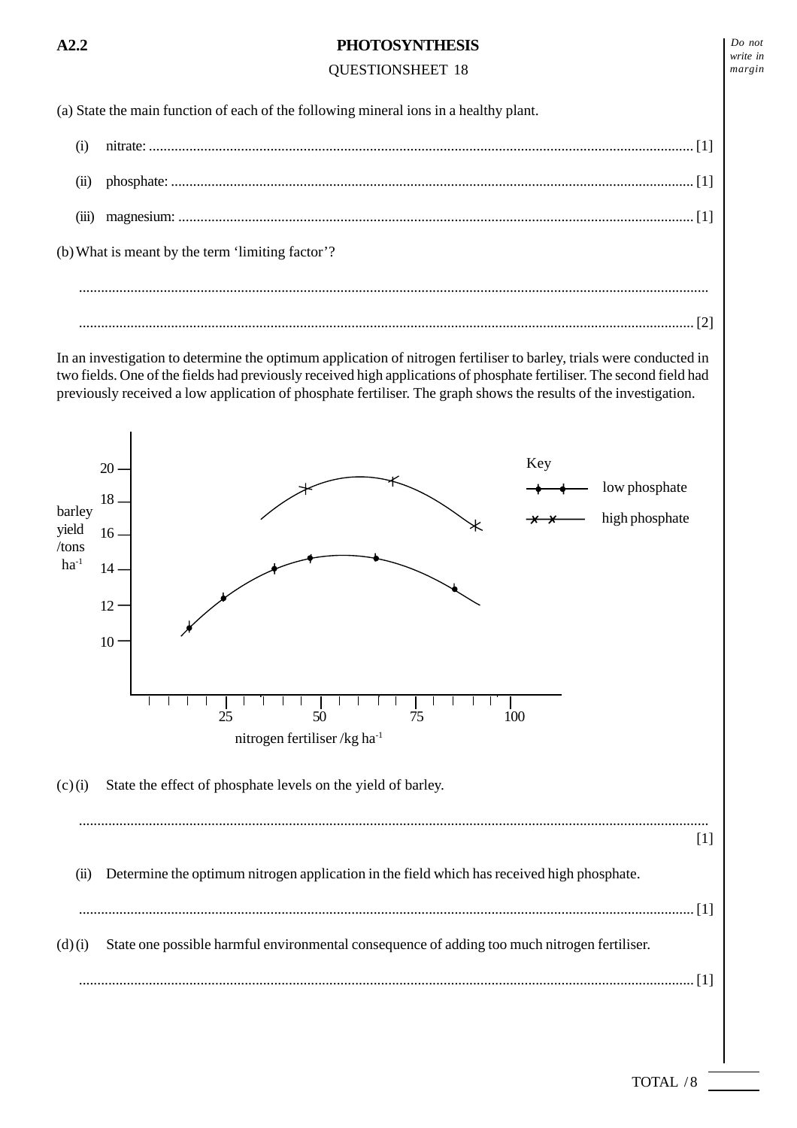# QUESTIONSHEET 18

(a) State the main function of each of the following mineral ions in a healthy plant.

(i) nitrate: .................................................................................................................................................... [1] (ii) phosphate: .............................................................................................................................................. [1] (iii) magnesium: ............................................................................................................................................ [1] (b) What is meant by the term 'limiting factor'? ...........................................................................................................................................................................

In an investigation to determine the optimum application of nitrogen fertiliser to barley, trials were conducted in two fields. One of the fields had previously received high applications of phosphate fertiliser. The second field had previously received a low application of phosphate fertiliser. The graph shows the results of the investigation.

....................................................................................................................................................................... [2]

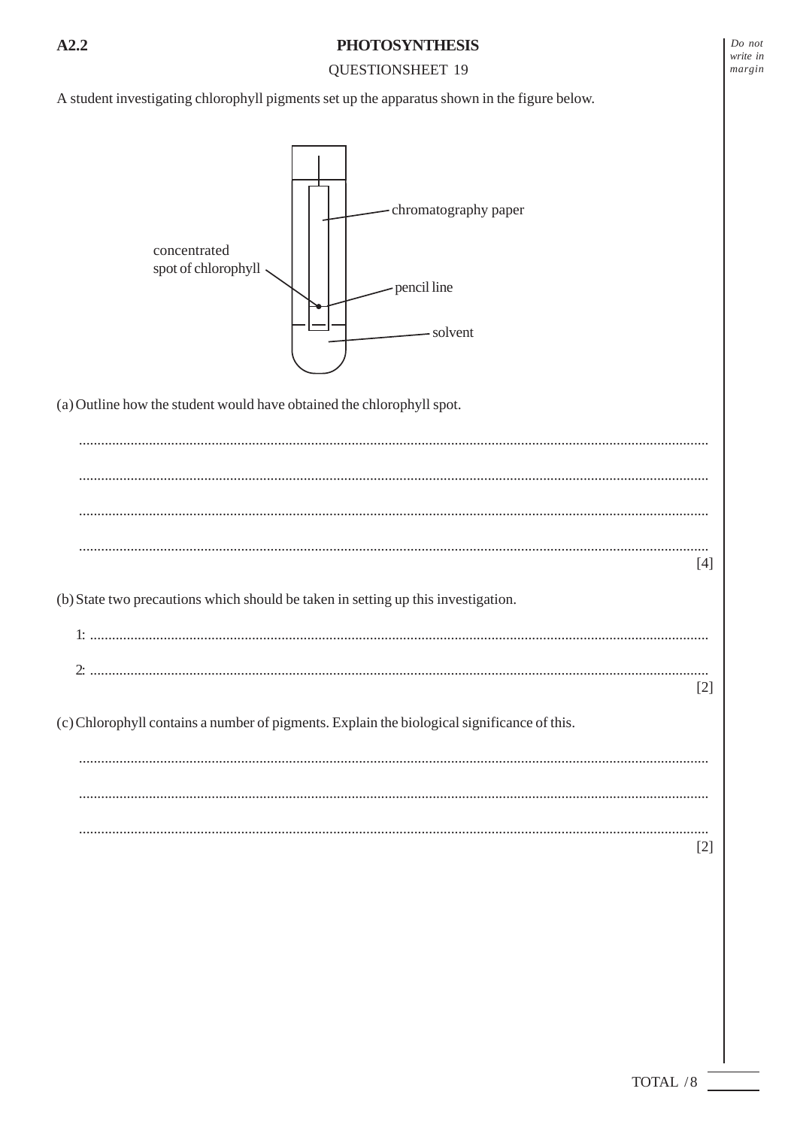## **QUESTIONSHEET 19**

A student investigating chlorophyll pigments set up the apparatus shown in the figure below.